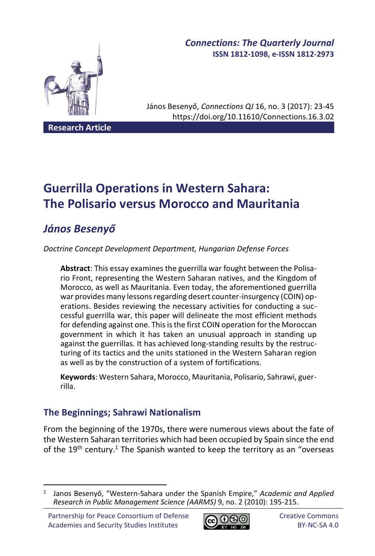

*Connections: The Quarterly Journal* **ISSN 1812-1098, e-ISSN 1812-2973**

János Besenyő, *Connections QJ* 16, no. 3 (2017): 23-45 https://doi.org/10.11610/Connections.16.3.02

**Research Article**

# **Guerrilla Operations in Western Sahara: The Polisario versus Morocco and Mauritania**

# *János Besenyő*

*Doctrine Concept Development Department, Hungarian Defense Forces*

**Abstract**: This essay examines the guerrilla war fought between the Polisario Front, representing the Western Saharan natives, and the Kingdom of Morocco, as well as Mauritania. Even today, the aforementioned guerrilla war provides many lessons regarding desert counter-insurgency (COIN) operations. Besides reviewing the necessary activities for conducting a successful guerrilla war, this paper will delineate the most efficient methods for defending against one. This is the first COIN operation for the Moroccan government in which it has taken an unusual approach in standing up against the guerrillas. It has achieved long-standing results by the restructuring of its tactics and the units stationed in the Western Saharan region as well as by the construction of a system of fortifications.

**Keywords**: Western Sahara, Morocco, Mauritania, Polisario, Sahrawi, guerrilla.

# **The Beginnings; Sahrawi Nationalism**

From the beginning of the 1970s, there were numerous views about the fate of the Western Saharan territories which had been occupied by Spain since the end of the 19<sup>th</sup> century.<sup>1</sup> The Spanish wanted to keep the territory as an "overseas



<sup>1</sup> 1 Janos Besenyő, "Western-Sahara under the Spanish Empire," *Academic and Applied Research in Public Management Science (AARMS)* 9, no. 2 (2010): 195-215.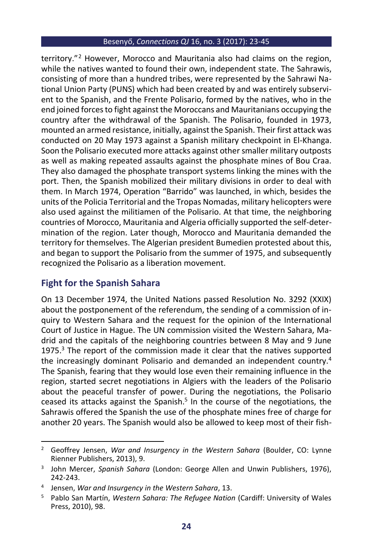territory." <sup>2</sup> However, Morocco and Mauritania also had claims on the region, while the natives wanted to found their own, independent state. The Sahrawis, consisting of more than a hundred tribes, were represented by the Sahrawi National Union Party (PUNS) which had been created by and was entirely subservient to the Spanish, and the Frente Polisario, formed by the natives, who in the end joined forces to fight against the Moroccans and Mauritanians occupying the country after the withdrawal of the Spanish. The Polisario, founded in 1973, mounted an armed resistance, initially, against the Spanish. Their first attack was conducted on 20 May 1973 against a Spanish military checkpoint in El-Khanga. Soon the Polisario executed more attacks against other smaller military outposts as well as making repeated assaults against the phosphate mines of Bou Craa. They also damaged the phosphate transport systems linking the mines with the port. Then, the Spanish mobilized their military divisions in order to deal with them. In March 1974, Operation "Barrido" was launched, in which, besides the units of the Policia Territorial and the Tropas Nomadas, military helicopters were also used against the militiamen of the Polisario. At that time, the neighboring countries of Morocco, Mauritania and Algeria officially supported the self-determination of the region. Later though, Morocco and Mauritania demanded the territory for themselves. The Algerian president Bumedien protested about this, and began to support the Polisario from the summer of 1975, and subsequently recognized the Polisario as a liberation movement.

# **Fight for the Spanish Sahara**

 $\overline{a}$ 

On 13 December 1974, the United Nations passed Resolution No. 3292 (XXIX) about the postponement of the referendum, the sending of a commission of inquiry to Western Sahara and the request for the opinion of the International Court of Justice in Hague. The UN commission visited the Western Sahara, Madrid and the capitals of the neighboring countries between 8 May and 9 June 1975.<sup>3</sup> The report of the commission made it clear that the natives supported the increasingly dominant Polisario and demanded an independent country.<sup>4</sup> The Spanish, fearing that they would lose even their remaining influence in the region, started secret negotiations in Algiers with the leaders of the Polisario about the peaceful transfer of power. During the negotiations, the Polisario ceased its attacks against the Spanish.<sup>5</sup> In the course of the negotiations, the Sahrawis offered the Spanish the use of the phosphate mines free of charge for another 20 years. The Spanish would also be allowed to keep most of their fish-

<sup>2</sup> Geoffrey Jensen, *War and Insurgency in the Western Sahara* (Boulder, CO: Lynne Rienner Publishers, 2013), 9.

<sup>3</sup> John Mercer, *Spanish Sahara* (London: George Allen and Unwin Publishers, 1976), 242-243.

<sup>4</sup> Jensen, *War and Insurgency in the Western Sahara*, 13.

<sup>5</sup> Pablo San Martín, *Western Sahara: The Refugee Nation* (Cardiff: University of Wales Press, 2010), 98.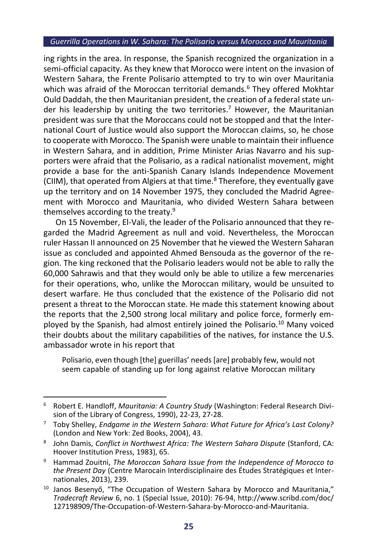ing rights in the area. In response, the Spanish recognized the organization in a semi-official capacity. As they knew that Morocco were intent on the invasion of Western Sahara, the Frente Polisario attempted to try to win over Mauritania which was afraid of the Moroccan territorial demands.<sup>6</sup> They offered Mokhtar Ould Daddah, the then Mauritanian president, the creation of a federal state under his leadership by uniting the two territories.<sup>7</sup> However, the Mauritanian president was sure that the Moroccans could not be stopped and that the International Court of Justice would also support the Moroccan claims, so, he chose to cooperate with Morocco. The Spanish were unable to maintain their influence in Western Sahara, and in addition, Prime Minister Arias Navarro and his supporters were afraid that the Polisario, as a radical nationalist movement, might provide a base for the anti-Spanish Canary Islands Independence Movement (CIIM), that operated from Algiers at that time.<sup>8</sup> Therefore, they eventually gave up the territory and on 14 November 1975, they concluded the Madrid Agreement with Morocco and Mauritania, who divided Western Sahara between themselves according to the treaty.<sup>9</sup>

On 15 November, El-Vali, the leader of the Polisario announced that they regarded the Madrid Agreement as null and void. Nevertheless, the Moroccan ruler Hassan II announced on 25 November that he viewed the Western Saharan issue as concluded and appointed Ahmed Bensouda as the governor of the region. The king reckoned that the Polisario leaders would not be able to rally the 60,000 Sahrawis and that they would only be able to utilize a few mercenaries for their operations, who, unlike the Moroccan military, would be unsuited to desert warfare. He thus concluded that the existence of the Polisario did not present a threat to the Moroccan state. He made this statement knowing about the reports that the 2,500 strong local military and police force, formerly employed by the Spanish, had almost entirely joined the Polisario.<sup>10</sup> Many voiced their doubts about the military capabilities of the natives, for instance the U.S. ambassador wrote in his report that

Polisario, even though [the] guerillas' needs [are] probably few, would not seem capable of standing up for long against relative Moroccan military

<sup>1</sup> <sup>6</sup> Robert E. Handloff, *Mauritania: A Country Study* (Washington: Federal Research Division of the Library of Congress, 1990), 22-23, 27-28.

<sup>7</sup> Toby Shelley, *Endgame in the Western Sahara: What Future for Africa's Last Colony?* (London and New York: Zed Books, 2004), 43.

<sup>&</sup>lt;sup>8</sup> John Damis, *Conflict in Northwest Africa: The Western Sahara Dispute* (Stanford, CA: Hoover Institution Press, 1983), 65.

<sup>9</sup> Hammad Zouitni, *The Moroccan Sahara Issue from the Independence of Morocco to the Present Day* (Centre Marocain Interdisciplinaire des Études Stratégiques et Internationales, 2013), 239.

<sup>&</sup>lt;sup>10</sup> Janos Besenyő, "The Occupation of Western Sahara by Morocco and Mauritania," *Tradecraft Review* 6, no. 1 (Special Issue, 2010): 76-94, http://www.scribd.com/doc/ 127198909/The-Occupation-of-Western-Sahara-by-Morocco-and-Mauritania.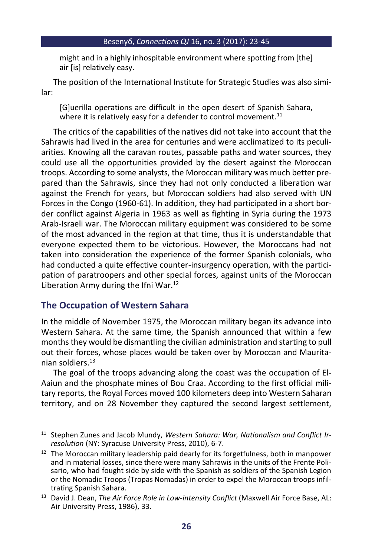might and in a highly inhospitable environment where spotting from [the] air [is] relatively easy.

The position of the International Institute for Strategic Studies was also similar:

[G]uerilla operations are difficult in the open desert of Spanish Sahara, where it is relatively easy for a defender to control movement.<sup>11</sup>

The critics of the capabilities of the natives did not take into account that the Sahrawis had lived in the area for centuries and were acclimatized to its peculiarities. Knowing all the caravan routes, passable paths and water sources, they could use all the opportunities provided by the desert against the Moroccan troops. According to some analysts, the Moroccan military was much better prepared than the Sahrawis, since they had not only conducted a liberation war against the French for years, but Moroccan soldiers had also served with UN Forces in the Congo (1960-61). In addition, they had participated in a short border conflict against Algeria in 1963 as well as fighting in Syria during the 1973 Arab-Israeli war. The Moroccan military equipment was considered to be some of the most advanced in the region at that time, thus it is understandable that everyone expected them to be victorious. However, the Moroccans had not taken into consideration the experience of the former Spanish colonials, who had conducted a quite effective counter-insurgency operation, with the participation of paratroopers and other special forces, against units of the Moroccan Liberation Army during the Ifni War.<sup>12</sup>

# **The Occupation of Western Sahara**

In the middle of November 1975, the Moroccan military began its advance into Western Sahara. At the same time, the Spanish announced that within a few months they would be dismantling the civilian administration and starting to pull out their forces, whose places would be taken over by Moroccan and Mauritanian soldiers.<sup>13</sup>

The goal of the troops advancing along the coast was the occupation of El-Aaiun and the phosphate mines of Bou Craa. According to the first official military reports, the Royal Forces moved 100 kilometers deep into Western Saharan territory, and on 28 November they captured the second largest settlement,

 $\overline{a}$ <sup>11</sup> Stephen Zunes and Jacob Mundy, Western Sahara: War, Nationalism and Conflict Ir*resolution* (NY: Syracuse University Press, 2010), 6-7.

<sup>&</sup>lt;sup>12</sup> The Moroccan military leadership paid dearly for its forgetfulness, both in manpower and in material losses, since there were many Sahrawis in the units of the Frente Polisario, who had fought side by side with the Spanish as soldiers of the Spanish Legion or the Nomadic Troops (Tropas Nomadas) in order to expel the Moroccan troops infiltrating Spanish Sahara.

<sup>13</sup> David J. Dean, *The Air Force Role in Low-intensity Conflict* (Maxwell Air Force Base, AL: Air University Press, 1986), 33.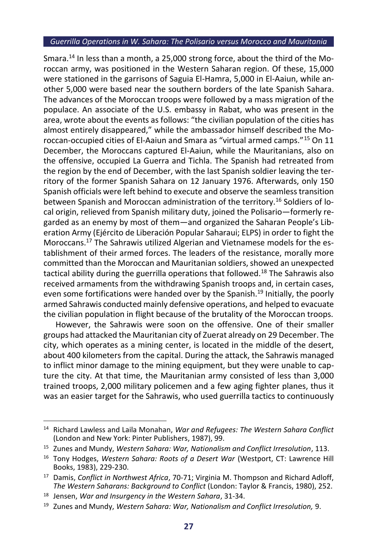Smara.<sup>14</sup> In less than a month, a 25,000 strong force, about the third of the Moroccan army, was positioned in the Western Saharan region. Of these, 15,000 were stationed in the garrisons of Saguia El-Hamra, 5,000 in El-Aaiun, while another 5,000 were based near the southern borders of the late Spanish Sahara. The advances of the Moroccan troops were followed by a mass migration of the populace. An associate of the U.S. embassy in Rabat, who was present in the area, wrote about the events as follows: "the civilian population of the cities has almost entirely disappeared," while the ambassador himself described the Moroccan-occupied cities of El-Aaiun and Smara as "virtual armed camps." <sup>15</sup> On 11 December, the Moroccans captured El-Aaiun, while the Mauritanians, also on the offensive, occupied La Guerra and Tichla. The Spanish had retreated from the region by the end of December, with the last Spanish soldier leaving the territory of the former Spanish Sahara on 12 January 1976. Afterwards, only 150 Spanish officials were left behind to execute and observe the seamless transition between Spanish and Moroccan administration of the territory.<sup>16</sup> Soldiers of local origin, relieved from Spanish military duty, joined the Polisario—formerly regarded as an enemy by most of them—and organized the Saharan People's Liberation Army (Ejército de Liberación Popular Saharaui; ELPS) in order to fight the Moroccans.<sup>17</sup> The Sahrawis utilized Algerian and Vietnamese models for the establishment of their armed forces. The leaders of the resistance, morally more committed than the Moroccan and Mauritanian soldiers, showed an unexpected tactical ability during the guerrilla operations that followed.<sup>18</sup> The Sahrawis also received armaments from the withdrawing Spanish troops and, in certain cases, even some fortifications were handed over by the Spanish.<sup>19</sup> Initially, the poorly armed Sahrawis conducted mainly defensive operations, and helped to evacuate the civilian population in flight because of the brutality of the Moroccan troops.

However, the Sahrawis were soon on the offensive. One of their smaller groups had attacked the Mauritanian city of Zuerat already on 29 December. The city, which operates as a mining center, is located in the middle of the desert, about 400 kilometers from the capital. During the attack, the Sahrawis managed to inflict minor damage to the mining equipment, but they were unable to capture the city. At that time, the Mauritanian army consisted of less than 3,000 trained troops, 2,000 military policemen and a few aging fighter planes, thus it was an easier target for the Sahrawis, who used guerrilla tactics to continuously

-

<sup>14</sup> Richard Lawless and Laila Monahan, *War and Refugees: The Western Sahara Conflict*  (London and New York: Pinter Publishers, 1987), 99.

<sup>15</sup> Zunes and Mundy, *Western Sahara: War, Nationalism and Conflict Irresolution*, 113.

<sup>16</sup> Tony Hodges, *Western Sahara: Roots of a Desert War* (Westport, CT: Lawrence Hill Books, 1983), 229-230.

<sup>17</sup> Damis, *Conflict in Northwest Africa*, 70-71; Virginia M. Thompson and Richard Adloff, *The Western Saharans: Background to Conflict* (London: Taylor & Francis, 1980), 252.

<sup>18</sup> Jensen, *War and Insurgency in the Western Sahara*, 31-34.

<sup>19</sup> Zunes and Mundy, *Western Sahara: War, Nationalism and Conflict Irresolution,* 9.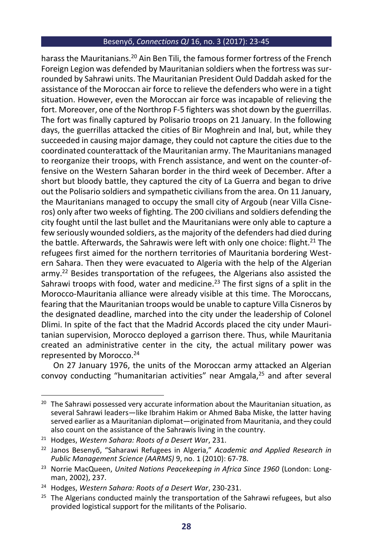harass the Mauritanians.<sup>20</sup> Ain Ben Tili, the famous former fortress of the French Foreign Legion was defended by Mauritanian soldiers when the fortress was surrounded by Sahrawi units. The Mauritanian President Ould Daddah asked for the assistance of the Moroccan air force to relieve the defenders who were in a tight situation. However, even the Moroccan air force was incapable of relieving the fort. Moreover, one of the Northrop F-5 fighters was shot down by the guerrillas. The fort was finally captured by Polisario troops on 21 January. In the following days, the guerrillas attacked the cities of Bir Moghrein and Inal, but, while they succeeded in causing major damage, they could not capture the cities due to the coordinated counterattack of the Mauritanian army. The Mauritanians managed to reorganize their troops, with French assistance, and went on the counter-offensive on the Western Saharan border in the third week of December. After a short but bloody battle, they captured the city of La Guerra and began to drive out the Polisario soldiers and sympathetic civilians from the area. On 11 January, the Mauritanians managed to occupy the small city of Argoub (near Villa Cisneros) only after two weeks of fighting. The 200 civilians and soldiers defending the city fought until the last bullet and the Mauritanians were only able to capture a few seriously wounded soldiers, as the majority of the defenders had died during the battle. Afterwards, the Sahrawis were left with only one choice: flight.<sup>21</sup> The refugees first aimed for the northern territories of Mauritania bordering Western Sahara. Then they were evacuated to Algeria with the help of the Algerian army.<sup>22</sup> Besides transportation of the refugees, the Algerians also assisted the Sahrawi troops with food, water and medicine.<sup>23</sup> The first signs of a split in the Morocco-Mauritania alliance were already visible at this time. The Moroccans, fearing that the Mauritanian troops would be unable to capture Villa Cisneros by the designated deadline, marched into the city under the leadership of Colonel Dlimi. In spite of the fact that the Madrid Accords placed the city under Mauritanian supervision, Morocco deployed a garrison there. Thus, while Mauritania created an administrative center in the city, the actual military power was represented by Morocco.<sup>24</sup>

On 27 January 1976, the units of the Moroccan army attacked an Algerian convoy conducting "humanitarian activities" near Amgala,<sup>25</sup> and after several

<sup>&</sup>lt;sup>20</sup> The Sahrawi possessed very accurate information about the Mauritanian situation, as several Sahrawi leaders—like Ibrahim Hakim or Ahmed Baba Miske, the latter having served earlier as a Mauritanian diplomat—originated from Mauritania, and they could also count on the assistance of the Sahrawis living in the country.

<sup>21</sup> Hodges, *Western Sahara: Roots of a Desert War*, 231.

<sup>22</sup> Janos Besenyő, "Saharawi Refugees in Algeria," *Academic and Applied Research in Public Management Science (AARMS)* 9, no. 1 (2010): 67-78.

<sup>23</sup> Norrie MacQueen, *United Nations Peacekeeping in Africa Since 1960* (London: Longman, 2002), 237.

<sup>24</sup> Hodges, *Western Sahara: Roots of a Desert War*, 230-231.

 $25$  The Algerians conducted mainly the transportation of the Sahrawi refugees, but also provided logistical support for the militants of the Polisario.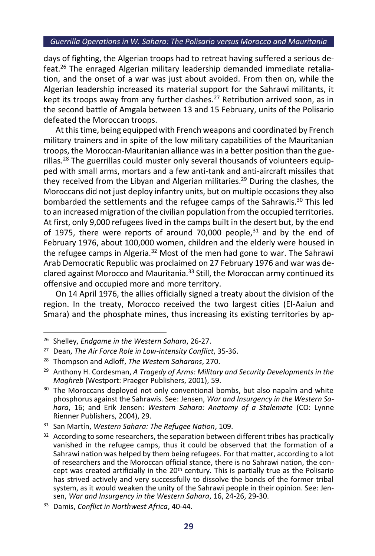days of fighting, the Algerian troops had to retreat having suffered a serious defeat.<sup>26</sup> The enraged Algerian military leadership demanded immediate retaliation, and the onset of a war was just about avoided. From then on, while the Algerian leadership increased its material support for the Sahrawi militants, it kept its troops away from any further clashes.<sup>27</sup> Retribution arrived soon, as in the second battle of Amgala between 13 and 15 February, units of the Polisario defeated the Moroccan troops.

At this time, being equipped with French weapons and coordinated by French military trainers and in spite of the low military capabilities of the Mauritanian troops, the Moroccan-Mauritanian alliance was in a better position than the guerillas. <sup>28</sup> The guerrillas could muster only several thousands of volunteers equipped with small arms, mortars and a few anti-tank and anti-aircraft missiles that they received from the Libyan and Algerian militaries.<sup>29</sup> During the clashes, the Moroccans did not just deploy infantry units, but on multiple occasions they also bombarded the settlements and the refugee camps of the Sahrawis.<sup>30</sup> This led to an increased migration of the civilian population from the occupied territories. At first, only 9,000 refugees lived in the camps built in the desert but, by the end of 1975, there were reports of around 70,000 people, $31$  and by the end of February 1976, about 100,000 women, children and the elderly were housed in the refugee camps in Algeria.<sup>32</sup> Most of the men had gone to war. The Sahrawi Arab Democratic Republic was proclaimed on 27 February 1976 and war was declared against Morocco and Mauritania.<sup>33</sup> Still, the Moroccan army continued its offensive and occupied more and more territory.

On 14 April 1976, the allies officially signed a treaty about the division of the region. In the treaty, Morocco received the two largest cities (El-Aaiun and Smara) and the phosphate mines, thus increasing its existing territories by ap-

<sup>-</sup><sup>26</sup> Shelley, *Endgame in the Western Sahara*, 26-27.

<sup>27</sup> Dean, *The Air Force Role in Low-intensity Conflict*, 35-36.

<sup>28</sup> Thompson and Adloff, *The Western Saharans*, 270.

<sup>29</sup> Anthony H. Cordesman, *A Tragedy of Arms: Military and Security Developments in the Maghreb* (Westport: Praeger Publishers, 2001), 59.

 $30$  The Moroccans deployed not only conventional bombs, but also napalm and white phosphorus against the Sahrawis. See: Jensen, *War and Insurgency in the Western Sahara*, 16; and Erik Jensen: *Western Sahara: Anatomy of a Stalemate* (CO: Lynne Rienner Publishers, 2004), 29.

<sup>31</sup> San Martín, *Western Sahara: The Refugee Nation*, 109.

 $32$  According to some researchers, the separation between different tribes has practically vanished in the refugee camps, thus it could be observed that the formation of a Sahrawi nation was helped by them being refugees. For that matter, according to a lot of researchers and the Moroccan official stance, there is no Sahrawi nation, the concept was created artificially in the  $20<sup>th</sup>$  century. This is partially true as the Polisario has strived actively and very successfully to dissolve the bonds of the former tribal system, as it would weaken the unity of the Sahrawi people in their opinion. See: Jensen, *War and Insurgency in the Western Sahara*, 16, 24-26, 29-30.

<sup>33</sup> Damis, *Conflict in Northwest Africa*, 40-44.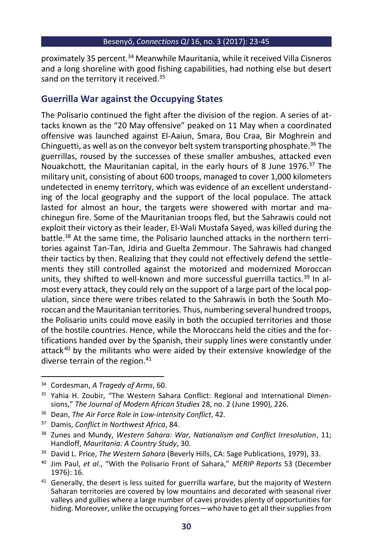proximately 35 percent.<sup>34</sup> Meanwhile Mauritania, while it received Villa Cisneros and a long shoreline with good fishing capabilities, had nothing else but desert sand on the territory it received.<sup>35</sup>

# **Guerrilla War against the Occupying States**

The Polisario continued the fight after the division of the region. A series of attacks known as the "20 May offensive" peaked on 11 May when a coordinated offensive was launched against El-Aaiun, Smara, Bou Craa, Bir Moghrein and Chinguetti, as well as on the conveyor belt system transporting phosphate.<sup>36</sup> The guerrillas, roused by the successes of these smaller ambushes, attacked even Nouakchott, the Mauritanian capital, in the early hours of 8 June 1976.<sup>37</sup> The military unit, consisting of about 600 troops, managed to cover 1,000 kilometers undetected in enemy territory, which was evidence of an excellent understanding of the local geography and the support of the local populace. The attack lasted for almost an hour, the targets were showered with mortar and machinegun fire. Some of the Mauritanian troops fled, but the Sahrawis could not exploit their victory as their leader, El-Wali Mustafa Sayed, was killed during the battle.<sup>38</sup> At the same time, the Polisario launched attacks in the northern territories against Tan-Tan, Jdiria and Guelta Zemmour. The Sahrawis had changed their tactics by then. Realizing that they could not effectively defend the settlements they still controlled against the motorized and modernized Moroccan units, they shifted to well-known and more successful guerrilla tactics.<sup>39</sup> In almost every attack, they could rely on the support of a large part of the local population, since there were tribes related to the Sahrawis in both the South Moroccan and the Mauritanian territories. Thus, numbering several hundred troops, the Polisario units could move easily in both the occupied territories and those of the hostile countries. Hence, while the Moroccans held the cities and the fortifications handed over by the Spanish, their supply lines were constantly under attack<sup>40</sup> by the militants who were aided by their extensive knowledge of the diverse terrain of the region.<sup>41</sup>

 $\ddot{\phantom{a}}$ 

<sup>34</sup> Cordesman, *A Tragedy of Arms*, 60.

<sup>35</sup> Yahia H. Zoubir, "The Western Sahara Conflict: Regional and International Dimensions," *The Journal of Modern African Studies* 28, no. 2 (June 1990), 226.

<sup>36</sup> Dean, *The Air Force Role in Low-intensity Conflict*, 42.

<sup>37</sup> Damis, *Conflict in Northwest Africa*, 84.

<sup>38</sup> Zunes and Mundy, *Western Sahara: War, Nationalism and Conflict Irresolution*, 11; Handloff, *Mauritania: A Country Study*, 30.

<sup>39</sup> David L. Price, *The Western Sahara* (Beverly Hills, CA: Sage Publications, 1979), 33.

<sup>40</sup> Jim Paul, *et al.*, "With the Polisario Front of Sahara," *MERIP Reports* 53 (December 1976): 16.

<sup>&</sup>lt;sup>41</sup> Generally, the desert is less suited for guerrilla warfare, but the majority of Western Saharan territories are covered by low mountains and decorated with seasonal river valleys and gullies where a large number of caves provides plenty of opportunities for hiding. Moreover, unlike the occupying forces—who have to get all their supplies from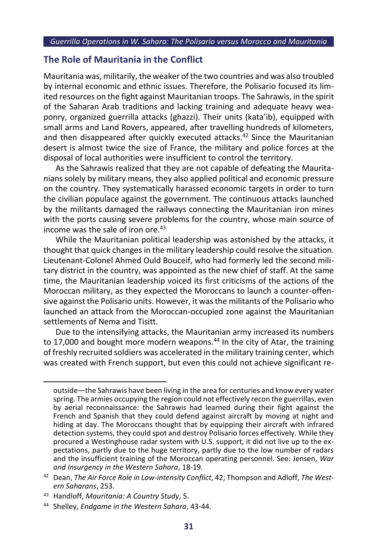## **The Role of Mauritania in the Conflict**

Mauritania was, militarily, the weaker of the two countries and was also troubled by internal economic and ethnic issues. Therefore, the Polisario focused its limited resources on the fight against Mauritanian troops. The Sahrawis, in the spirit of the Saharan Arab traditions and lacking training and adequate heavy weaponry, organized guerrilla attacks (ghazzi). Their units (kata'ib), equipped with small arms and Land Rovers, appeared, after travelling hundreds of kilometers, and then disappeared after quickly executed attacks.<sup>42</sup> Since the Mauritanian desert is almost twice the size of France, the military and police forces at the disposal of local authorities were insufficient to control the territory.

As the Sahrawis realized that they are not capable of defeating the Mauritanians solely by military means, they also applied political and economic pressure on the country. They systematically harassed economic targets in order to turn the civilian populace against the government. The continuous attacks launched by the militants damaged the railways connecting the Mauritanian iron mines with the ports causing severe problems for the country, whose main source of income was the sale of iron ore. $43$ 

While the Mauritanian political leadership was astonished by the attacks, it thought that quick changes in the military leadership could resolve the situation. Lieutenant-Colonel Ahmed Ould Bouceif, who had formerly led the second military district in the country, was appointed as the new chief of staff. At the same time, the Mauritanian leadership voiced its first criticisms of the actions of the Moroccan military, as they expected the Moroccans to launch a counter-offensive against the Polisario units. However, it was the militants of the Polisario who launched an attack from the Moroccan-occupied zone against the Mauritanian settlements of Nema and Tisitt.

Due to the intensifying attacks, the Mauritanian army increased its numbers to 17,000 and bought more modern weapons.<sup>44</sup> In the city of Atar, the training of freshly recruited soldiers was accelerated in the military training center, which was created with French support, but even this could not achieve significant re-

outside—the Sahrawis have been living in the area for centuries and know every water spring. The armies occupying the region could not effectively recon the guerrillas, even by aerial reconnaissance: the Sahrawis had learned during their fight against the French and Spanish that they could defend against aircraft by moving at night and hiding at day. The Moroccans thought that by equipping their aircraft with infrared detection systems, they could spot and destroy Polisario forces effectively. While they procured a Westinghouse radar system with U.S. support, it did not live up to the expectations, partly due to the huge territory, partly due to the low number of radars and the insufficient training of the Moroccan operating personnel. See: Jensen, *War and Insurgency in the Western Sahara*, 18-19.

<sup>42</sup> Dean, *The Air Force Role in Low-intensity Conflict*, 42; Thompson and Adloff, *The Western Saharans*, 253.

<sup>43</sup> Handloff, *Mauritania: A Country Study*, 5.

<sup>44</sup> Shelley, *Endgame in the Western Sahara*, 43-44.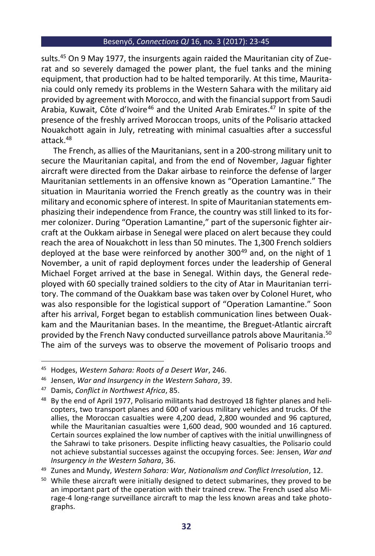sults.<sup>45</sup> On 9 May 1977, the insurgents again raided the Mauritanian city of Zuerat and so severely damaged the power plant, the fuel tanks and the mining equipment, that production had to be halted temporarily. At this time, Mauritania could only remedy its problems in the Western Sahara with the military aid provided by agreement with Morocco, and with the financial support from Saudi Arabia, Kuwait, Côte d'Ivoire<sup>46</sup> and the United Arab Emirates.<sup>47</sup> In spite of the presence of the freshly arrived Moroccan troops, units of the Polisario attacked Nouakchott again in July, retreating with minimal casualties after a successful attack.<sup>48</sup>

The French, as allies of the Mauritanians, sent in a 200-strong military unit to secure the Mauritanian capital, and from the end of November, Jaguar fighter aircraft were directed from the Dakar airbase to reinforce the defense of larger Mauritanian settlements in an offensive known as "Operation Lamantine." The situation in Mauritania worried the French greatly as the country was in their military and economic sphere of interest. In spite of Mauritanian statements emphasizing their independence from France, the country was still linked to its former colonizer. During "Operation Lamantine," part of the supersonic fighter aircraft at the Oukkam airbase in Senegal were placed on alert because they could reach the area of Nouakchott in less than 50 minutes. The 1,300 French soldiers deployed at the base were reinforced by another  $300^{49}$  and, on the night of 1 November, a unit of rapid deployment forces under the leadership of General Michael Forget arrived at the base in Senegal. Within days, the General redeployed with 60 specially trained soldiers to the city of Atar in Mauritanian territory. The command of the Ouakkam base was taken over by Colonel Huret, who was also responsible for the logistical support of "Operation Lamantine." Soon after his arrival, Forget began to establish communication lines between Ouakkam and the Mauritanian bases. In the meantime, the Breguet-Atlantic aircraft provided by the French Navy conducted surveillance patrols above Mauritania.<sup>50</sup> The aim of the surveys was to observe the movement of Polisario troops and

<sup>1</sup> <sup>45</sup> Hodges, *Western Sahara: Roots of a Desert War*, 246.

<sup>46</sup> Jensen, *War and Insurgency in the Western Sahara*, 39.

<sup>47</sup> Damis, *Conflict in Northwest Africa*, 85.

<sup>48</sup> By the end of April 1977, Polisario militants had destroyed 18 fighter planes and helicopters, two transport planes and 600 of various military vehicles and trucks. Of the allies, the Moroccan casualties were 4,200 dead, 2,800 wounded and 96 captured, while the Mauritanian casualties were 1,600 dead, 900 wounded and 16 captured. Certain sources explained the low number of captives with the initial unwillingness of the Sahrawi to take prisoners. Despite inflicting heavy casualties, the Polisario could not achieve substantial successes against the occupying forces. See: Jensen, *War and Insurgency in the Western Sahara*, 36.

<sup>49</sup> Zunes and Mundy, *Western Sahara: War, Nationalism and Conflict Irresolution*, 12.

<sup>&</sup>lt;sup>50</sup> While these aircraft were initially designed to detect submarines, they proved to be an important part of the operation with their trained crew*.* The French used also Mirage-4 long-range surveillance aircraft to map the less known areas and take photographs.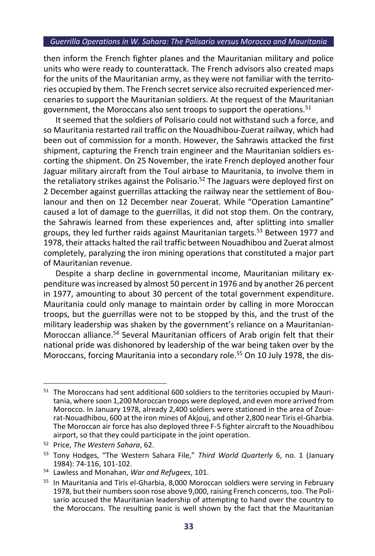then inform the French fighter planes and the Mauritanian military and police units who were ready to counterattack. The French advisors also created maps for the units of the Mauritanian army, as they were not familiar with the territories occupied by them. The French secret service also recruited experienced mercenaries to support the Mauritanian soldiers. At the request of the Mauritanian government, the Moroccans also sent troops to support the operations.<sup>51</sup>

It seemed that the soldiers of Polisario could not withstand such a force, and so Mauritania restarted rail traffic on the Nouadhibou-Zuerat railway, which had been out of commission for a month. However, the Sahrawis attacked the first shipment, capturing the French train engineer and the Mauritanian soldiers escorting the shipment. On 25 November, the irate French deployed another four Jaguar military aircraft from the Toul airbase to Mauritania, to involve them in the retaliatory strikes against the Polisario. $52$  The Jaguars were deployed first on 2 December against guerrillas attacking the railway near the settlement of Boulanour and then on 12 December near Zouerat. While "Operation Lamantine" caused a lot of damage to the guerrillas, it did not stop them. On the contrary, the Sahrawis learned from these experiences and, after splitting into smaller groups, they led further raids against Mauritanian targets.<sup>53</sup> Between 1977 and 1978, their attacks halted the rail traffic between Nouadhibou and Zuerat almost completely, paralyzing the iron mining operations that constituted a major part of Mauritanian revenue.

Despite a sharp decline in governmental income, Mauritanian military expenditure was increased by almost 50 percent in 1976 and by another 26 percent in 1977, amounting to about 30 percent of the total government expenditure. Mauritania could only manage to maintain order by calling in more Moroccan troops, but the guerrillas were not to be stopped by this, and the trust of the military leadership was shaken by the government's reliance on a Mauritanian-Moroccan alliance.<sup>54</sup> Several Mauritanian officers of Arab origin felt that their national pride was dishonored by leadership of the war being taken over by the Moroccans, forcing Mauritania into a secondary role.<sup>55</sup> On 10 July 1978, the dis-

-

<sup>&</sup>lt;sup>51</sup> The Moroccans had sent additional 600 soldiers to the territories occupied by Mauritania, where soon 1,200 Moroccan troops were deployed, and even more arrived from Morocco. In January 1978, already 2,400 soldiers were stationed in the area of Zouerat-Nouadhibou, 600 at the iron mines of Akjouj, and other 2,800 near Tiris el-Gharbia. The Moroccan air force has also deployed three F-5 fighter aircraft to the Nouadhibou airport, so that they could participate in the joint operation.

<sup>52</sup> Price, *The Western Sahara*, 62.

<sup>53</sup> Tony Hodges, "The Western Sahara File," *Third World Quarterly* 6, no. 1 (January 1984): 74-116, 101-102.

<sup>54</sup> Lawless and Monahan, *War and Refugees*, 101.

<sup>&</sup>lt;sup>55</sup> In Mauritania and Tiris el-Gharbia, 8,000 Moroccan soldiers were serving in February 1978, but their numbers soon rose above 9,000, raising French concerns, too. The Polisario accused the Mauritanian leadership of attempting to hand over the country to the Moroccans. The resulting panic is well shown by the fact that the Mauritanian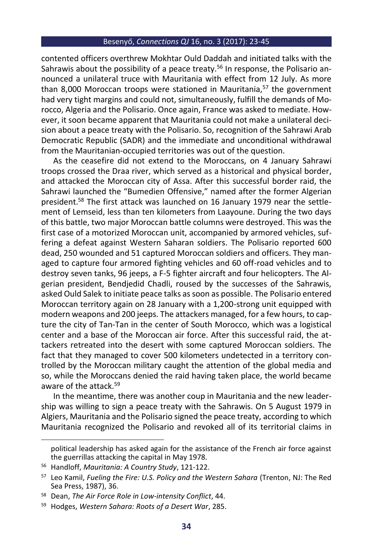contented officers overthrew Mokhtar Ould Daddah and initiated talks with the Sahrawis about the possibility of a peace treaty.<sup>56</sup> In response, the Polisario announced a unilateral truce with Mauritania with effect from 12 July. As more than 8,000 Moroccan troops were stationed in Mauritania, $57$  the government had very tight margins and could not, simultaneously, fulfill the demands of Morocco, Algeria and the Polisario. Once again, France was asked to mediate. However, it soon became apparent that Mauritania could not make a unilateral decision about a peace treaty with the Polisario. So, recognition of the Sahrawi Arab Democratic Republic (SADR) and the immediate and unconditional withdrawal from the Mauritanian-occupied territories was out of the question.

As the ceasefire did not extend to the Moroccans, on 4 January Sahrawi troops crossed the Draa river, which served as a historical and physical border, and attacked the Moroccan city of Assa. After this successful border raid, the Sahrawi launched the "Bumedien Offensive," named after the former Algerian president.<sup>58</sup> The first attack was launched on 16 January 1979 near the settlement of Lemseid, less than ten kilometers from Laayoune. During the two days of this battle, two major Moroccan battle columns were destroyed. This was the first case of a motorized Moroccan unit, accompanied by armored vehicles, suffering a defeat against Western Saharan soldiers. The Polisario reported 600 dead, 250 wounded and 51 captured Moroccan soldiers and officers. They managed to capture four armored fighting vehicles and 60 off-road vehicles and to destroy seven tanks, 96 jeeps, a F-5 fighter aircraft and four helicopters. The Algerian president, Bendjedid Chadli, roused by the successes of the Sahrawis, asked Ould Salek to initiate peace talks as soon as possible. The Polisario entered Moroccan territory again on 28 January with a 1,200-strong unit equipped with modern weapons and 200 jeeps. The attackers managed, for a few hours, to capture the city of Tan-Tan in the center of South Morocco, which was a logistical center and a base of the Moroccan air force. After this successful raid, the attackers retreated into the desert with some captured Moroccan soldiers. The fact that they managed to cover 500 kilometers undetected in a territory controlled by the Moroccan military caught the attention of the global media and so, while the Moroccans denied the raid having taken place, the world became aware of the attack <sup>59</sup>

In the meantime, there was another coup in Mauritania and the new leadership was willing to sign a peace treaty with the Sahrawis. On 5 August 1979 in Algiers, Mauritania and the Polisario signed the peace treaty, according to which Mauritania recognized the Polisario and revoked all of its territorial claims in

political leadership has asked again for the assistance of the French air force against the guerrillas attacking the capital in May 1978.

<sup>56</sup> Handloff, *Mauritania: A Country Study*, 121-122.

<sup>57</sup> Leo Kamil, *Fueling the Fire: U.S. Policy and the Western Sahara* (Trenton, NJ: The Red Sea Press, 1987), 36.

<sup>58</sup> Dean, *The Air Force Role in Low-intensity Conflict*, 44.

<sup>59</sup> Hodges, *Western Sahara: Roots of a Desert War*, 285.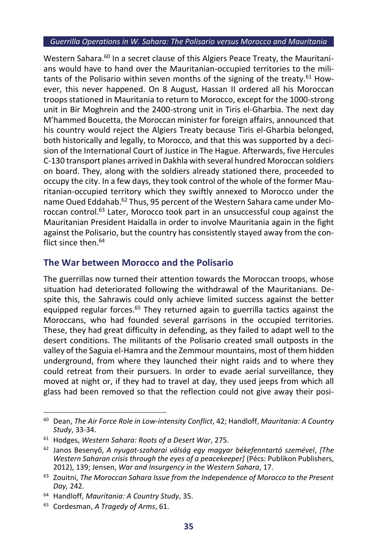Western Sahara.<sup>60</sup> In a secret clause of this Algiers Peace Treaty, the Mauritanians would have to hand over the Mauritanian-occupied territories to the militants of the Polisario within seven months of the signing of the treaty.<sup>61</sup> However, this never happened. On 8 August, Hassan II ordered all his Moroccan troops stationed in Mauritania to return to Morocco, except for the 1000-strong unit in Bir Moghrein and the 2400-strong unit in Tiris el-Gharbia. The next day M'hammed Boucetta, the Moroccan minister for foreign affairs, announced that his country would reject the Algiers Treaty because Tiris el-Gharbia belonged, both historically and legally, to Morocco, and that this was supported by a decision of the International Court of Justice in The Hague. Afterwards, five Hercules C-130 transport planes arrived in Dakhla with several hundred Moroccan soldiers on board. They, along with the soldiers already stationed there, proceeded to occupy the city. In a few days, they took control of the whole of the former Mauritanian-occupied territory which they swiftly annexed to Morocco under the name Oued Eddahab.<sup>62</sup> Thus, 95 percent of the Western Sahara came under Moroccan control.<sup>63</sup> Later, Morocco took part in an unsuccessful coup against the Mauritanian President Haidalla in order to involve Mauritania again in the fight against the Polisario, but the country has consistently stayed away from the conflict since then. $64$ 

# **The War between Morocco and the Polisario**

The guerrillas now turned their attention towards the Moroccan troops, whose situation had deteriorated following the withdrawal of the Mauritanians. Despite this, the Sahrawis could only achieve limited success against the better equipped regular forces.<sup>65</sup> They returned again to guerrilla tactics against the Moroccans, who had founded several garrisons in the occupied territories. These, they had great difficulty in defending, as they failed to adapt well to the desert conditions. The militants of the Polisario created small outposts in the valley of the Saguia el-Hamra and the Zemmour mountains, most of them hidden underground, from where they launched their night raids and to where they could retreat from their pursuers. In order to evade aerial surveillance, they moved at night or, if they had to travel at day, they used jeeps from which all glass had been removed so that the reflection could not give away their posi-

<sup>60</sup> Dean, *The Air Force Role in Low-intensity Conflict*, 42; Handloff, *Mauritania: A Country Study*, 33-34.

<sup>61</sup> Hodges, *Western Sahara: Roots of a Desert War*, 275.

<sup>62</sup> Janos Besenyő, *A nyugat-szaharai válság egy magyar békefenntartó szemével*, *[The Western Saharan crisis through the eyes of a peacekeeper]* (Pécs: Publikon Publishers, 2012), 139; Jensen, *War and Insurgency in the Western Sahara*, 17.

<sup>63</sup> Zouitni, *The Moroccan Sahara Issue from the Independence of Morocco to the Present Day,* 242.

<sup>64</sup> Handloff, *Mauritania: A Country Study*, 35.

<sup>65</sup> Cordesman, *A Tragedy of Arms*, 61.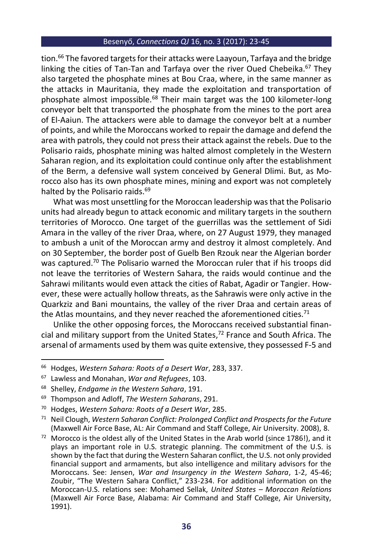tion.<sup>66</sup> The favored targets for their attacks were Laayoun, Tarfaya and the bridge linking the cities of Tan-Tan and Tarfaya over the river Oued Chebeika.<sup>67</sup> They also targeted the phosphate mines at Bou Craa, where, in the same manner as the attacks in Mauritania, they made the exploitation and transportation of phosphate almost impossible.<sup>68</sup> Their main target was the 100 kilometer-long conveyor belt that transported the phosphate from the mines to the port area of El-Aaiun. The attackers were able to damage the conveyor belt at a number of points, and while the Moroccans worked to repair the damage and defend the area with patrols, they could not press their attack against the rebels. Due to the Polisario raids, phosphate mining was halted almost completely in the Western Saharan region, and its exploitation could continue only after the establishment of the Berm, a defensive wall system conceived by General Dlimi. But, as Morocco also has its own phosphate mines, mining and export was not completely halted by the Polisario raids.<sup>69</sup>

What was most unsettling for the Moroccan leadership was that the Polisario units had already begun to attack economic and military targets in the southern territories of Morocco. One target of the guerrillas was the settlement of Sidi Amara in the valley of the river Draa, where, on 27 August 1979, they managed to ambush a unit of the Moroccan army and destroy it almost completely. And on 30 September, the border post of Guelb Ben Rzouk near the Algerian border was captured.<sup>70</sup> The Polisario warned the Moroccan ruler that if his troops did not leave the territories of Western Sahara, the raids would continue and the Sahrawi militants would even attack the cities of Rabat, Agadir or Tangier. However, these were actually hollow threats, as the Sahrawis were only active in the Quarkziz and Bani mountains, the valley of the river Draa and certain areas of the Atlas mountains, and they never reached the aforementioned cities.<sup>71</sup>

Unlike the other opposing forces, the Moroccans received substantial financial and military support from the United States, <sup>72</sup> France and South Africa. The arsenal of armaments used by them was quite extensive, they possessed F-5 and

 $\overline{a}$ <sup>66</sup> Hodges, *Western Sahara: Roots of a Desert War*, 283, 337.

<sup>67</sup> Lawless and Monahan, *War and Refugees*, 103.

<sup>68</sup> Shelley, *Endgame in the Western Sahara*, 191.

<sup>69</sup> Thompson and Adloff, *The Western Saharans*, 291.

<sup>70</sup> Hodges, *Western Sahara: Roots of a Desert War*, 285.

<sup>71</sup> Neil Clough, *Western Saharan Conflict: Prolonged Conflict and Prospects for the Future*  (Maxwell Air Force Base, AL: Air Command and Staff College, Air University. 2008), 8.

<sup>&</sup>lt;sup>72</sup> Morocco is the oldest ally of the United States in the Arab world (since 1786!), and it plays an important role in U.S. strategic planning. The commitment of the U.S. is shown by the fact that during the Western Saharan conflict, the U.S. not only provided financial support and armaments, but also intelligence and military advisors for the Moroccans. See: Jensen, *War and Insurgency in the Western Sahara*, 1-2, 45-46; Zoubir, "The Western Sahara Conflict," 233-234. For additional information on the Moroccan-U.S. relations see: Mohamed Sellak, *United States – Moroccan Relations*  (Maxwell Air Force Base, Alabama: Air Command and Staff College, Air University, 1991).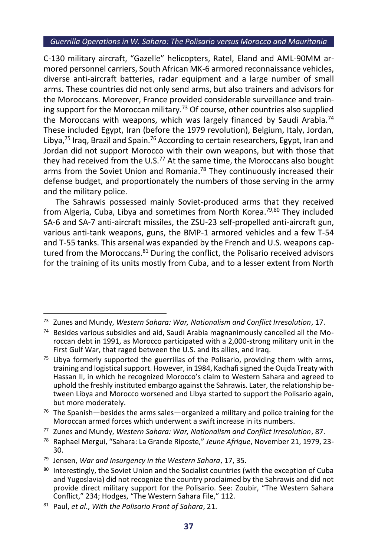C-130 military aircraft, "Gazelle" helicopters, Ratel, Eland and AML-90MM armored personnel carriers, South African MK-6 armored reconnaissance vehicles, diverse anti-aircraft batteries, radar equipment and a large number of small arms. These countries did not only send arms, but also trainers and advisors for the Moroccans. Moreover, France provided considerable surveillance and training support for the Moroccan military.<sup>73</sup> Of course, other countries also supplied the Moroccans with weapons, which was largely financed by Saudi Arabia.<sup>74</sup> These included Egypt, Iran (before the 1979 revolution), Belgium, Italy, Jordan, Libya,<sup>75</sup> Iraq, Brazil and Spain.<sup>76</sup> According to certain researchers, Egypt, Iran and Jordan did not support Morocco with their own weapons, but with those that they had received from the U.S. $^{77}$  At the same time, the Moroccans also bought arms from the Soviet Union and Romania.<sup>78</sup> They continuously increased their defense budget, and proportionately the numbers of those serving in the army and the military police.

The Sahrawis possessed mainly Soviet-produced arms that they received from Algeria, Cuba, Libya and sometimes from North Korea. 79,80 They included SA-6 and SA-7 anti-aircraft missiles, the ZSU-23 self-propelled anti-aircraft gun, various anti-tank weapons, guns, the BMP-1 armored vehicles and a few T-54 and T-55 tanks. This arsenal was expanded by the French and U.S. weapons captured from the Moroccans. $81$  During the conflict, the Polisario received advisors for the training of its units mostly from Cuba, and to a lesser extent from North

<sup>-</sup><sup>73</sup> Zunes and Mundy, *Western Sahara: War, Nationalism and Conflict Irresolution*, 17.

 $74$  Besides various subsidies and aid, Saudi Arabia magnanimously cancelled all the Moroccan debt in 1991, as Morocco participated with a 2,000-strong military unit in the First Gulf War, that raged between the U.S. and its allies, and Iraq.

 $75$  Libya formerly supported the guerrillas of the Polisario, providing them with arms, training and logistical support. However, in 1984, Kadhafi signed the Oujda Treaty with Hassan II, in which he recognized Morocco's claim to Western Sahara and agreed to uphold the freshly instituted embargo against the Sahrawis. Later, the relationship between Libya and Morocco worsened and Libya started to support the Polisario again, but more moderately.

 $76$  The Spanish—besides the arms sales—organized a military and police training for the Moroccan armed forces which underwent a swift increase in its numbers.

<sup>77</sup> Zunes and Mundy, *Western Sahara: War, Nationalism and Conflict Irresolution*, 87.

<sup>78</sup> Raphael Mergui, "Sahara: La Grande Riposte," *Jeune Afrique*, November 21, 1979, 23- 30.

<sup>79</sup> Jensen, *War and Insurgency in the Western Sahara*, 17, 35.

<sup>80</sup> Interestingly, the Soviet Union and the Socialist countries (with the exception of Cuba and Yugoslavia) did not recognize the country proclaimed by the Sahrawis and did not provide direct military support for the Polisario. See: Zoubir, "The Western Sahara Conflict," 234; Hodges, "The Western Sahara File," 112.

<sup>81</sup> Paul, *et al*., *With the Polisario Front of Sahara*, 21.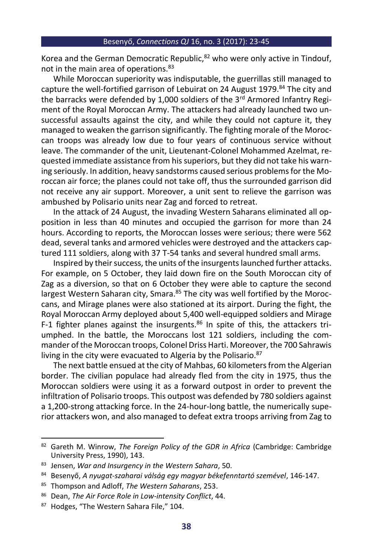Korea and the German Democratic Republic, <sup>82</sup> who were only active in Tindouf, not in the main area of operations.<sup>83</sup>

While Moroccan superiority was indisputable, the guerrillas still managed to capture the well-fortified garrison of Lebuirat on 24 August 1979.<sup>84</sup> The city and the barracks were defended by 1,000 soldiers of the 3<sup>rd</sup> Armored Infantry Regiment of the Royal Moroccan Army. The attackers had already launched two unsuccessful assaults against the city, and while they could not capture it, they managed to weaken the garrison significantly. The fighting morale of the Moroccan troops was already low due to four years of continuous service without leave. The commander of the unit, Lieutenant-Colonel Mohammed Azelmat, requested immediate assistance from his superiors, but they did not take his warning seriously. In addition, heavy sandstorms caused serious problems for the Moroccan air force; the planes could not take off, thus the surrounded garrison did not receive any air support. Moreover, a unit sent to relieve the garrison was ambushed by Polisario units near Zag and forced to retreat.

In the attack of 24 August, the invading Western Saharans eliminated all opposition in less than 40 minutes and occupied the garrison for more than 24 hours. According to reports, the Moroccan losses were serious; there were 562 dead, several tanks and armored vehicles were destroyed and the attackers captured 111 soldiers, along with 37 T-54 tanks and several hundred small arms.

Inspired by their success, the units of the insurgents launched further attacks. For example, on 5 October, they laid down fire on the South Moroccan city of Zag as a diversion, so that on 6 October they were able to capture the second largest Western Saharan city, Smara.<sup>85</sup> The city was well fortified by the Moroccans, and Mirage planes were also stationed at its airport. During the fight, the Royal Moroccan Army deployed about 5,400 well-equipped soldiers and Mirage F-1 fighter planes against the insurgents. $86$  In spite of this, the attackers triumphed. In the battle, the Moroccans lost 121 soldiers, including the commander of the Moroccan troops, Colonel Driss Harti. Moreover, the 700 Sahrawis living in the city were evacuated to Algeria by the Polisario.<sup>87</sup>

The next battle ensued at the city of Mahbas, 60 kilometers from the Algerian border. The civilian populace had already fled from the city in 1975, thus the Moroccan soldiers were using it as a forward outpost in order to prevent the infiltration of Polisario troops. This outpost was defended by 780 soldiers against a 1,200-strong attacking force. In the 24-hour-long battle, the numerically superior attackers won, and also managed to defeat extra troops arriving from Zag to

 $\ddot{\phantom{a}}$ 

<sup>82</sup> Gareth M. Winrow, *The Foreign Policy of the GDR in Africa* (Cambridge: Cambridge University Press, 1990), 143.

<sup>83</sup> Jensen, *War and Insurgency in the Western Sahara*, 50.

<sup>84</sup> Besenyő, *A nyugat-szaharai válság egy magyar békefenntartó szemével*, 146-147.

<sup>85</sup> Thompson and Adloff, *The Western Saharans*, 253.

<sup>86</sup> Dean, *The Air Force Role in Low-intensity Conflict*, 44.

<sup>87</sup> Hodges, "The Western Sahara File," 104.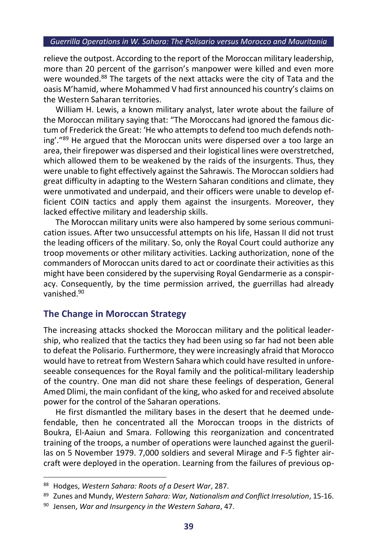relieve the outpost. According to the report of the Moroccan military leadership, more than 20 percent of the garrison's manpower were killed and even more were wounded.<sup>88</sup> The targets of the next attacks were the city of Tata and the oasis M'hamid, where Mohammed V had first announced his country's claims on the Western Saharan territories.

William H. Lewis, a known military analyst, later wrote about the failure of the Moroccan military saying that: "The Moroccans had ignored the famous dictum of Frederick the Great: 'He who attempts to defend too much defends nothing'." <sup>89</sup> He argued that the Moroccan units were dispersed over a too large an area, their firepower was dispersed and their logistical lines were overstretched, which allowed them to be weakened by the raids of the insurgents. Thus, they were unable to fight effectively against the Sahrawis. The Moroccan soldiers had great difficulty in adapting to the Western Saharan conditions and climate, they were unmotivated and underpaid, and their officers were unable to develop efficient COIN tactics and apply them against the insurgents. Moreover, they lacked effective military and leadership skills.

The Moroccan military units were also hampered by some serious communication issues. After two unsuccessful attempts on his life, Hassan II did not trust the leading officers of the military. So, only the Royal Court could authorize any troop movements or other military activities. Lacking authorization, none of the commanders of Moroccan units dared to act or coordinate their activities as this might have been considered by the supervising Royal Gendarmerie as a conspiracy. Consequently, by the time permission arrived, the guerrillas had already vanished.<sup>90</sup>

### **The Change in Moroccan Strategy**

The increasing attacks shocked the Moroccan military and the political leadership, who realized that the tactics they had been using so far had not been able to defeat the Polisario. Furthermore, they were increasingly afraid that Morocco would have to retreat from Western Sahara which could have resulted in unforeseeable consequences for the Royal family and the political-military leadership of the country. One man did not share these feelings of desperation, General Amed Dlimi, the main confidant of the king, who asked for and received absolute power for the control of the Saharan operations.

He first dismantled the military bases in the desert that he deemed undefendable, then he concentrated all the Moroccan troops in the districts of Boukra, El-Aaiun and Smara. Following this reorganization and concentrated training of the troops, a number of operations were launched against the guerillas on 5 November 1979. 7,000 soldiers and several Mirage and F-5 fighter aircraft were deployed in the operation. Learning from the failures of previous op-

**.** 

<sup>88</sup> Hodges, *Western Sahara: Roots of a Desert War*, 287.

<sup>89</sup> Zunes and Mundy, *Western Sahara: War, Nationalism and Conflict Irresolution*, 15-16.

<sup>90</sup> Jensen, *War and Insurgency in the Western Sahara*, 47.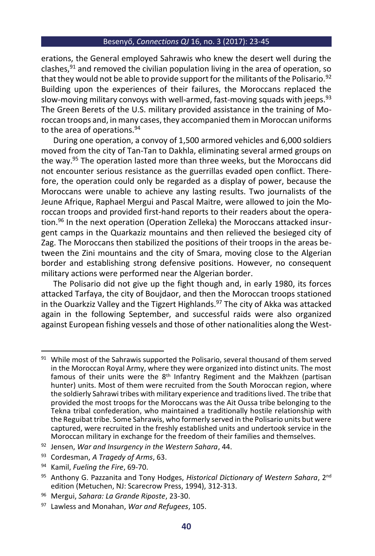erations, the General employed Sahrawis who knew the desert well during the clashes, $91$  and removed the civilian population living in the area of operation, so that they would not be able to provide support for the militants of the Polisario.<sup>92</sup> Building upon the experiences of their failures, the Moroccans replaced the slow-moving military convoys with well-armed, fast-moving squads with jeeps.<sup>93</sup> The Green Berets of the U.S. military provided assistance in the training of Moroccan troops and, in many cases, they accompanied them in Moroccan uniforms to the area of operations.<sup>94</sup>

During one operation, a convoy of 1,500 armored vehicles and 6,000 soldiers moved from the city of Tan-Tan to Dakhla, eliminating several armed groups on the way.<sup>95</sup> The operation lasted more than three weeks, but the Moroccans did not encounter serious resistance as the guerrillas evaded open conflict. Therefore, the operation could only be regarded as a display of power, because the Moroccans were unable to achieve any lasting results. Two journalists of the Jeune Afrique, Raphael Mergui and Pascal Maitre, were allowed to join the Moroccan troops and provided first-hand reports to their readers about the operation.<sup>96</sup> In the next operation (Operation Zelleka) the Moroccans attacked insurgent camps in the Quarkaziz mountains and then relieved the besieged city of Zag. The Moroccans then stabilized the positions of their troops in the areas between the Zini mountains and the city of Smara, moving close to the Algerian border and establishing strong defensive positions. However, no consequent military actions were performed near the Algerian border.

The Polisario did not give up the fight though and, in early 1980, its forces attacked Tarfaya, the city of Boujdaor, and then the Moroccan troops stationed in the Ouarkziz Valley and the Tigzert Highlands.<sup>97</sup> The city of Akka was attacked again in the following September, and successful raids were also organized against European fishing vessels and those of other nationalities along the West-

<sup>&</sup>lt;sup>91</sup> While most of the Sahrawis supported the Polisario, several thousand of them served in the Moroccan Royal Army, where they were organized into distinct units. The most famous of their units were the  $8<sup>th</sup>$  Infantry Regiment and the Makhzen (partisan hunter) units. Most of them were recruited from the South Moroccan region, where the soldierly Sahrawi tribes with military experience and traditions lived. The tribe that provided the most troops for the Moroccans was the Ait Oussa tribe belonging to the Tekna tribal confederation, who maintained a traditionally hostile relationship with the Reguibat tribe. Some Sahrawis, who formerly served in the Polisario units but were captured, were recruited in the freshly established units and undertook service in the Moroccan military in exchange for the freedom of their families and themselves.

<sup>92</sup> Jensen, *War and Insurgency in the Western Sahara*, 44.

<sup>93</sup> Cordesman, *A Tragedy of Arms*, 63.

<sup>94</sup> Kamil, *Fueling the Fire*, 69-70.

<sup>&</sup>lt;sup>95</sup> Anthony G. Pazzanita and Tony Hodges, Historical Dictionary of Western Sahara, 2<sup>nd</sup> edition (Metuchen, NJ: Scarecrow Press, 1994), 312-313.

<sup>96</sup> Mergui, *Sahara: La Grande Riposte*, 23-30.

<sup>97</sup> Lawless and Monahan, *War and Refugees*, 105.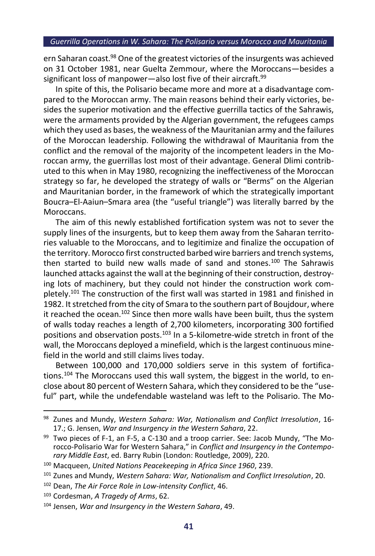ern Saharan coast.<sup>98</sup> One of the greatest victories of the insurgents was achieved on 31 October 1981, near Guelta Zemmour, where the Moroccans—besides a significant loss of manpower—also lost five of their aircraft.<sup>99</sup>

In spite of this, the Polisario became more and more at a disadvantage compared to the Moroccan army. The main reasons behind their early victories, besides the superior motivation and the effective guerrilla tactics of the Sahrawis, were the armaments provided by the Algerian government, the refugees camps which they used as bases, the weakness of the Mauritanian army and the failures of the Moroccan leadership. Following the withdrawal of Mauritania from the conflict and the removal of the majority of the incompetent leaders in the Moroccan army, the guerrillas lost most of their advantage. General Dlimi contributed to this when in May 1980, recognizing the ineffectiveness of the Moroccan strategy so far, he developed the strategy of walls or "Berms" on the Algerian and Mauritanian border, in the framework of which the strategically important Boucra–El-Aaiun–Smara area (the "useful triangle") was literally barred by the Moroccans.

The aim of this newly established fortification system was not to sever the supply lines of the insurgents, but to keep them away from the Saharan territories valuable to the Moroccans, and to legitimize and finalize the occupation of the territory. Morocco first constructed barbed wire barriers and trench systems, then started to build new walls made of sand and stones.<sup>100</sup> The Sahrawis launched attacks against the wall at the beginning of their construction, destroying lots of machinery, but they could not hinder the construction work completely.<sup>101</sup> The construction of the first wall was started in 1981 and finished in 1982. It stretched from the city of Smara to the southern part of Boujdour, where it reached the ocean.<sup>102</sup> Since then more walls have been built, thus the system of walls today reaches a length of 2,700 kilometers, incorporating 300 fortified positions and observation posts.<sup>103</sup> In a 5-kilometre-wide stretch in front of the wall, the Moroccans deployed a minefield, which is the largest continuous minefield in the world and still claims lives today.

Between 100,000 and 170,000 soldiers serve in this system of fortifications.<sup>104</sup> The Moroccans used this wall system, the biggest in the world, to enclose about 80 percent of Western Sahara, which they considered to be the "useful" part, while the undefendable wasteland was left to the Polisario. The Mo-

-

<sup>98</sup> Zunes and Mundy, *Western Sahara: War, Nationalism and Conflict Irresolution*, 16- 17.; G. Jensen, *War and Insurgency in the Western Sahara*, 22.

 $99$  Two pieces of F-1, an F-5, a C-130 and a troop carrier. See: Jacob Mundy, "The Morocco-Polisario War for Western Sahara," in *Conflict and Insurgency in the Contemporary Middle East*, ed. Barry Rubin (London: Routledge, 2009), 220.

<sup>100</sup> Macqueen, *United Nations Peacekeeping in Africa Since 1960*, 239.

<sup>101</sup> Zunes and Mundy, *Western Sahara: War, Nationalism and Conflict Irresolution*, 20.

<sup>102</sup> Dean, *The Air Force Role in Low-intensity Conflict*, 46.

<sup>103</sup> Cordesman, *A Tragedy of Arms*, 62.

<sup>104</sup> Jensen, *War and Insurgency in the Western Sahara*, 49.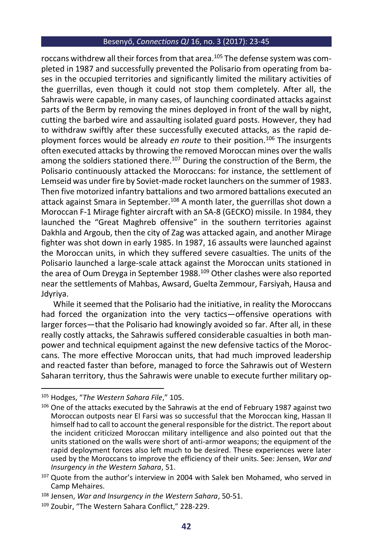roccans withdrew all their forces from that area.<sup>105</sup> The defense system was completed in 1987 and successfully prevented the Polisario from operating from bases in the occupied territories and significantly limited the military activities of the guerrillas, even though it could not stop them completely. After all, the Sahrawis were capable, in many cases, of launching coordinated attacks against parts of the Berm by removing the mines deployed in front of the wall by night, cutting the barbed wire and assaulting isolated guard posts. However, they had to withdraw swiftly after these successfully executed attacks, as the rapid deployment forces would be already *en route* to their position.<sup>106</sup> The insurgents often executed attacks by throwing the removed Moroccan mines over the walls among the soldiers stationed there.<sup>107</sup> During the construction of the Berm, the Polisario continuously attacked the Moroccans: for instance, the settlement of Lemseid was under fire by Soviet-made rocket launchers on the summer of 1983. Then five motorized infantry battalions and two armored battalions executed an attack against Smara in September.<sup>108</sup> A month later, the guerrillas shot down a Moroccan F-1 Mirage fighter aircraft with an SA-8 (GECKO) missile. In 1984, they launched the "Great Maghreb offensive" in the southern territories against Dakhla and Argoub, then the city of Zag was attacked again, and another Mirage fighter was shot down in early 1985. In 1987, 16 assaults were launched against the Moroccan units, in which they suffered severe casualties. The units of the Polisario launched a large-scale attack against the Moroccan units stationed in the area of Oum Dreyga in September 1988.<sup>109</sup> Other clashes were also reported near the settlements of Mahbas, Awsard, Guelta Zemmour, Farsiyah, Hausa and Jdyriya.

While it seemed that the Polisario had the initiative, in reality the Moroccans had forced the organization into the very tactics—offensive operations with larger forces—that the Polisario had knowingly avoided so far. After all, in these really costly attacks, the Sahrawis suffered considerable casualties in both manpower and technical equipment against the new defensive tactics of the Moroccans. The more effective Moroccan units, that had much improved leadership and reacted faster than before, managed to force the Sahrawis out of Western Saharan territory, thus the Sahrawis were unable to execute further military op-

<sup>105</sup> Hodges, "*The Western Sahara File*," 105.

<sup>&</sup>lt;sup>106</sup> One of the attacks executed by the Sahrawis at the end of February 1987 against two Moroccan outposts near El Farsi was so successful that the Moroccan king, Hassan II himself had to call to account the general responsible for the district. The report about the incident criticized Moroccan military intelligence and also pointed out that the units stationed on the walls were short of anti-armor weapons; the equipment of the rapid deployment forces also left much to be desired. These experiences were later used by the Moroccans to improve the efficiency of their units. See: Jensen, *War and Insurgency in the Western Sahara*, 51.

<sup>107</sup> Quote from the author's interview in 2004 with Salek ben Mohamed, who served in Camp Mehaires.

<sup>108</sup> Jensen, *War and Insurgency in the Western Sahara*, 50-51.

<sup>109</sup> Zoubir, "The Western Sahara Conflict," 228-229.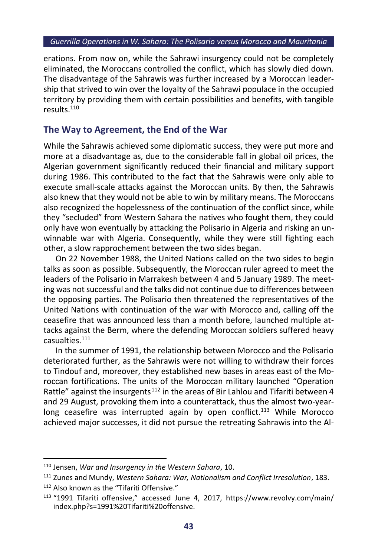erations. From now on, while the Sahrawi insurgency could not be completely eliminated, the Moroccans controlled the conflict, which has slowly died down. The disadvantage of the Sahrawis was further increased by a Moroccan leadership that strived to win over the loyalty of the Sahrawi populace in the occupied territory by providing them with certain possibilities and benefits, with tangible results.<sup>110</sup>

## **The Way to Agreement, the End of the War**

While the Sahrawis achieved some diplomatic success, they were put more and more at a disadvantage as, due to the considerable fall in global oil prices, the Algerian government significantly reduced their financial and military support during 1986. This contributed to the fact that the Sahrawis were only able to execute small-scale attacks against the Moroccan units. By then, the Sahrawis also knew that they would not be able to win by military means. The Moroccans also recognized the hopelessness of the continuation of the conflict since, while they "secluded" from Western Sahara the natives who fought them, they could only have won eventually by attacking the Polisario in Algeria and risking an unwinnable war with Algeria. Consequently, while they were still fighting each other, a slow rapprochement between the two sides began.

On 22 November 1988, the United Nations called on the two sides to begin talks as soon as possible. Subsequently, the Moroccan ruler agreed to meet the leaders of the Polisario in Marrakesh between 4 and 5 January 1989. The meeting was not successful and the talks did not continue due to differences between the opposing parties. The Polisario then threatened the representatives of the United Nations with continuation of the war with Morocco and, calling off the ceasefire that was announced less than a month before, launched multiple attacks against the Berm, where the defending Moroccan soldiers suffered heavy casualties.<sup>111</sup>

In the summer of 1991, the relationship between Morocco and the Polisario deteriorated further, as the Sahrawis were not willing to withdraw their forces to Tindouf and, moreover, they established new bases in areas east of the Moroccan fortifications. The units of the Moroccan military launched "Operation Rattle" against the insurgents<sup>112</sup> in the areas of Bir Lahlou and Tifariti between 4 and 29 August, provoking them into a counterattack, thus the almost two-yearlong ceasefire was interrupted again by open conflict.<sup>113</sup> While Morocco achieved major successes, it did not pursue the retreating Sahrawis into the Al-

<sup>110</sup> Jensen, *War and Insurgency in the Western Sahara*, 10.

<sup>111</sup> Zunes and Mundy, *Western Sahara: War, Nationalism and Conflict Irresolution*, 183. <sup>112</sup> Also known as the "Tifariti Offensive."

<sup>113</sup> "1991 Tifariti offensive," accessed June 4, 2017, https://www.revolvy.com/main/ index.php?s=1991%20Tifariti%20offensive.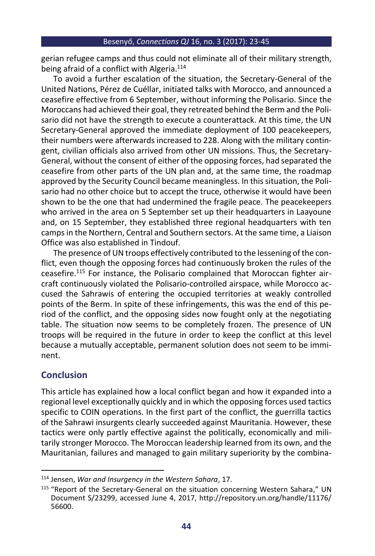gerian refugee camps and thus could not eliminate all of their military strength, being afraid of a conflict with Algeria.<sup>114</sup>

To avoid a further escalation of the situation, the Secretary-General of the United Nations, Pérez de Cuéllar, initiated talks with Morocco, and announced a ceasefire effective from 6 September, without informing the Polisario. Since the Moroccans had achieved their goal, they retreated behind the Berm and the Polisario did not have the strength to execute a counterattack. At this time, the UN Secretary-General approved the immediate deployment of 100 peacekeepers, their numbers were afterwards increased to 228. Along with the military contingent, civilian officials also arrived from other UN missions. Thus, the Secretary-General, without the consent of either of the opposing forces, had separated the ceasefire from other parts of the UN plan and, at the same time, the roadmap approved by the Security Council became meaningless. In this situation, the Polisario had no other choice but to accept the truce, otherwise it would have been shown to be the one that had undermined the fragile peace. The peacekeepers who arrived in the area on 5 September set up their headquarters in Laayoune and, on 15 September, they established three regional headquarters with ten camps in the Northern, Central and Southern sectors. At the same time, a Liaison Office was also established in Tindouf.

The presence of UN troops effectively contributed to the lessening of the conflict, even though the opposing forces had continuously broken the rules of the ceasefire.<sup>115</sup> For instance, the Polisario complained that Moroccan fighter aircraft continuously violated the Polisario-controlled airspace, while Morocco accused the Sahrawis of entering the occupied territories at weakly controlled points of the Berm. In spite of these infringements, this was the end of this period of the conflict, and the opposing sides now fought only at the negotiating table. The situation now seems to be completely frozen. The presence of UN troops will be required in the future in order to keep the conflict at this level because a mutually acceptable, permanent solution does not seem to be imminent.

# **Conclusion**

1

This article has explained how a local conflict began and how it expanded into a regional level exceptionally quickly and in which the opposing forces used tactics specific to COIN operations. In the first part of the conflict, the guerrilla tactics of the Sahrawi insurgents clearly succeeded against Mauritania. However, these tactics were only partly effective against the politically, economically and militarily stronger Morocco. The Moroccan leadership learned from its own, and the Mauritanian, failures and managed to gain military superiority by the combina-

<sup>114</sup> Jensen, *War and Insurgency in the Western Sahara*, 17.

<sup>&</sup>lt;sup>115</sup> "Report of the Secretary-General on the situation concerning Western Sahara," UN Document S/23299, accessed June 4, 2017, http://repository.un.org/handle/11176/ 56600.